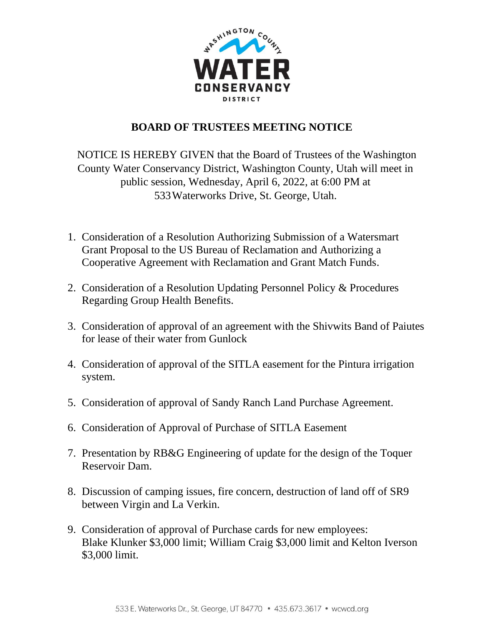

## **BOARD OF TRUSTEES MEETING NOTICE**

NOTICE IS HEREBY GIVEN that the Board of Trustees of the Washington County Water Conservancy District, Washington County, Utah will meet in public session, Wednesday, April 6, 2022, at 6:00 PM at 533Waterworks Drive, St. George, Utah.

- 1. Consideration of a Resolution Authorizing Submission of a Watersmart Grant Proposal to the US Bureau of Reclamation and Authorizing a Cooperative Agreement with Reclamation and Grant Match Funds.
- 2. Consideration of a Resolution Updating Personnel Policy & Procedures Regarding Group Health Benefits.
- 3. Consideration of approval of an agreement with the Shivwits Band of Paiutes for lease of their water from Gunlock
- 4. Consideration of approval of the SITLA easement for the Pintura irrigation system.
- 5. Consideration of approval of Sandy Ranch Land Purchase Agreement.
- 6. Consideration of Approval of Purchase of SITLA Easement
- 7. Presentation by RB&G Engineering of update for the design of the Toquer Reservoir Dam.
- 8. Discussion of camping issues, fire concern, destruction of land off of SR9 between Virgin and La Verkin.
- 9. Consideration of approval of Purchase cards for new employees: Blake Klunker \$3,000 limit; William Craig \$3,000 limit and Kelton Iverson \$3,000 limit.